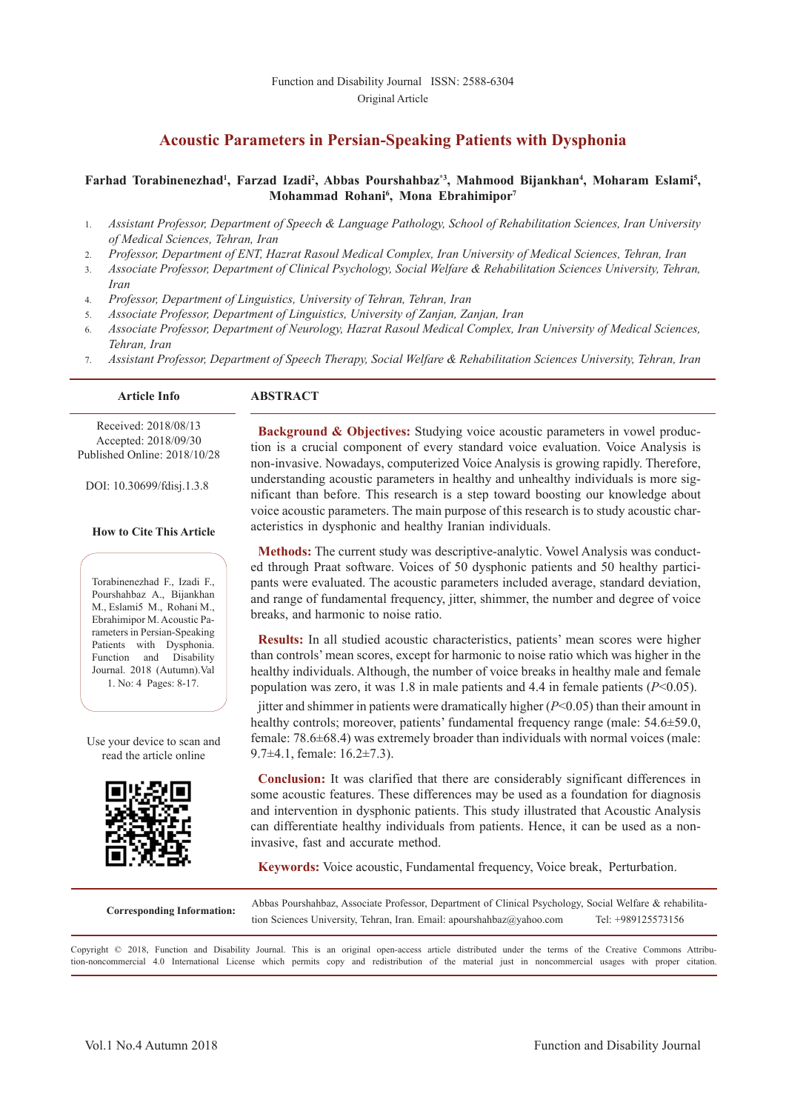# **Acoustic Parameters in Persian-Speaking Patients with Dysphonia**

#### Farhad Torabinenezhad<sup>1</sup>, Farzad Izadi<sup>2</sup>, Abbas Pourshahbaz<sup>\*3</sup>, Mahmood Bijankhan<sup>4</sup>, Moharam Eslami<sup>5</sup>, **Mohammad Rohani6 , Mona Ebrahimipor7**

- 1. *Assistant Professor, Department of Speech & Language Pathology, School of Rehabilitation Sciences, Iran University of Medical Sciences, Tehran, Iran*
- 2. *Professor, Department of ENT, Hazrat Rasoul Medical Complex, Iran University of Medical Sciences, Tehran, Iran*
- 3. *Associate Professor, Department of Clinical Psychology, Social Welfare & Rehabilitation Sciences University, Tehran, Iran*
- 4. *Professor, Department of Linguistics, University of Tehran, Tehran, Iran*
- 5. *Associate Professor, Department of Linguistics, University of Zanjan, Zanjan, Iran*
- 6. *Associate Professor, Department of Neurology, Hazrat Rasoul Medical Complex, Iran University of Medical Sciences, Tehran, Iran*
- 7. *Assistant Professor, Department of Speech Therapy, Social Welfare & Rehabilitation Sciences University, Tehran, Iran*

#### **Article Info ABSTRACT**

 Received: 2018/08/13 Accepted: 2018/09/30 Published Online: 2018/10/28

DOI: 10.30699/fdisj.1.3.8

#### **How to Cite This Article**

Torabinenezhad F., Izadi F., Pourshahbaz A., Bijankhan M., Eslami5 M., Rohani M., Ebrahimipor M. Acoustic Parameters in Persian-Speaking Patients with Dysphonia. Function and Disability Journal. 2018 (Autumn).Val 1. No: 4 Pages: 8-17.

Use your device to scan and read the article online



**Background & Objectives:** Studying voice acoustic parameters in vowel production is a crucial component of every standard voice evaluation. Voice Analysis is non-invasive. Nowadays, computerized Voice Analysis is growing rapidly. Therefore, understanding acoustic parameters in healthy and unhealthy individuals is more significant than before. This research is a step toward boosting our knowledge about voice acoustic parameters. The main purpose of this research is to study acoustic characteristics in dysphonic and healthy Iranian individuals.

**Methods:** The current study was descriptive-analytic. Vowel Analysis was conducted through Praat software. Voices of 50 dysphonic patients and 50 healthy participants were evaluated. The acoustic parameters included average, standard deviation, and range of fundamental frequency, jitter, shimmer, the number and degree of voice breaks, and harmonic to noise ratio.

**Results:** In all studied acoustic characteristics, patients' mean scores were higher than controls' mean scores, except for harmonic to noise ratio which was higher in the healthy individuals. Although, the number of voice breaks in healthy male and female population was zero, it was 1.8 in male patients and 4.4 in female patients (*P*<0.05).

jitter and shimmer in patients were dramatically higher (*P*<0.05) than their amount in healthy controls; moreover, patients' fundamental frequency range (male: 54.6±59.0, female: 78.6±68.4) was extremely broader than individuals with normal voices (male: 9.7±4.1, female: 16.2±7.3).

**Conclusion:** It was clarified that there are considerably significant differences in some acoustic features. These differences may be used as a foundation for diagnosis and intervention in dysphonic patients. This study illustrated that Acoustic Analysis can differentiate healthy individuals from patients. Hence, it can be used as a noninvasive, fast and accurate method.

**Keywords:** Voice acoustic, Fundamental frequency, Voice break, Perturbation.

**Corresponding Information:** Abbas Pourshahbaz, Associate Professor, Department of Clinical Psychology, Social Welfare & rehabilita-<br>tion Sciences University. Tehran. Iran. Email: apourshahbaz@vahoo.com Tel: +989125573156 tion Sciences University, Tehran, Iran. Email: apourshahbaz@yahoo.com

Copyright © 2018, Function and Disability Journal. This is an original open-access article distributed under the terms of the Creative Commons Attribution-noncommercial 4.0 International License which permits copy and redistribution of the material just in noncommercial usages with proper citation.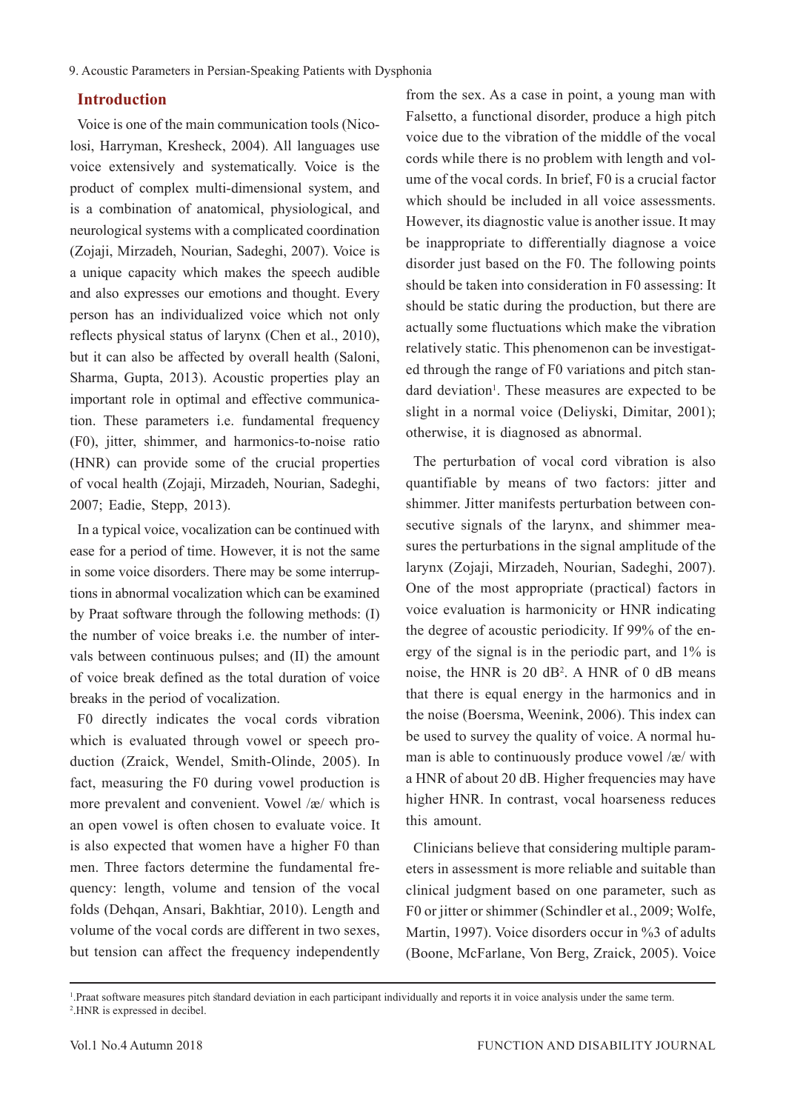# **Introduction**

Voice is one of the main communication tools (Nicolosi, Harryman, Kresheck, 2004). All languages use voice extensively and systematically. Voice is the product of complex multi-dimensional system, and is a combination of anatomical, physiological, and neurological systems with a complicated coordination (Zojaji, Mirzadeh, Nourian, Sadeghi, 2007). Voice is a unique capacity which makes the speech audible and also expresses our emotions and thought. Every person has an individualized voice which not only reflects physical status of larynx (Chen et al., 2010), but it can also be affected by overall health (Saloni, Sharma, Gupta, 2013). Acoustic properties play an important role in optimal and effective communication. These parameters i.e. fundamental frequency (F0), jitter, shimmer, and harmonics-to-noise ratio (HNR) can provide some of the crucial properties of vocal health (Zojaji, Mirzadeh, Nourian, Sadeghi, 2007; Eadie, Stepp, 2013).

In a typical voice, vocalization can be continued with ease for a period of time. However, it is not the same in some voice disorders. There may be some interruptions in abnormal vocalization which can be examined by Praat software through the following methods: (І) the number of voice breaks i.e. the number of intervals between continuous pulses; and (ІІ) the amount of voice break defined as the total duration of voice breaks in the period of vocalization.

F0 directly indicates the vocal cords vibration which is evaluated through vowel or speech production (Zraick, Wendel, Smith-Olinde, 2005). In fact, measuring the F0 during vowel production is more prevalent and convenient. Vowel /æ/ which is an open vowel is often chosen to evaluate voice. It is also expected that women have a higher F0 than men. Three factors determine the fundamental frequency: length, volume and tension of the vocal folds (Dehqan, Ansari, Bakhtiar, 2010). Length and volume of the vocal cords are different in two sexes, but tension can affect the frequency independently

from the sex. As a case in point, a young man with Falsetto, a functional disorder, produce a high pitch voice due to the vibration of the middle of the vocal cords while there is no problem with length and volume of the vocal cords. In brief, F0 is a crucial factor which should be included in all voice assessments. However, its diagnostic value is another issue. It may be inappropriate to differentially diagnose a voice disorder just based on the F0. The following points should be taken into consideration in F0 assessing: It should be static during the production, but there are actually some fluctuations which make the vibration relatively static. This phenomenon can be investigated through the range of F0 variations and pitch standard deviation<sup>1</sup>. These measures are expected to be slight in a normal voice (Deliyski, Dimitar, 2001); otherwise, it is diagnosed as abnormal.

The perturbation of vocal cord vibration is also quantifiable by means of two factors: jitter and shimmer. Jitter manifests perturbation between consecutive signals of the larynx, and shimmer measures the perturbations in the signal amplitude of the larynx (Zojaji, Mirzadeh, Nourian, Sadeghi, 2007). One of the most appropriate (practical) factors in voice evaluation is harmonicity or HNR indicating the degree of acoustic periodicity. If 99% of the energy of the signal is in the periodic part, and 1% is noise, the HNR is 20 dB2 . A HNR of 0 dB means that there is equal energy in the harmonics and in the noise (Boersma, Weenink, 2006). This index can be used to survey the quality of voice. A normal human is able to continuously produce vowel /æ/ with a HNR of about 20 dB. Higher frequencies may have higher HNR. In contrast, vocal hoarseness reduces this amount.

Clinicians believe that considering multiple parameters in assessment is more reliable and suitable than clinical judgment based on one parameter, such as F0 or jitter or shimmer (Schindler et al., 2009; Wolfe, Martin, 1997). Voice disorders occur in %3 of adults (Boone, McFarlane, Von Berg, Zraick, 2005). Voice

<sup>1</sup> .Praat software measures pitch standard deviation in each participant individually and reports it in voice analysis under the same term. 2 .HNR is expressed in decibel.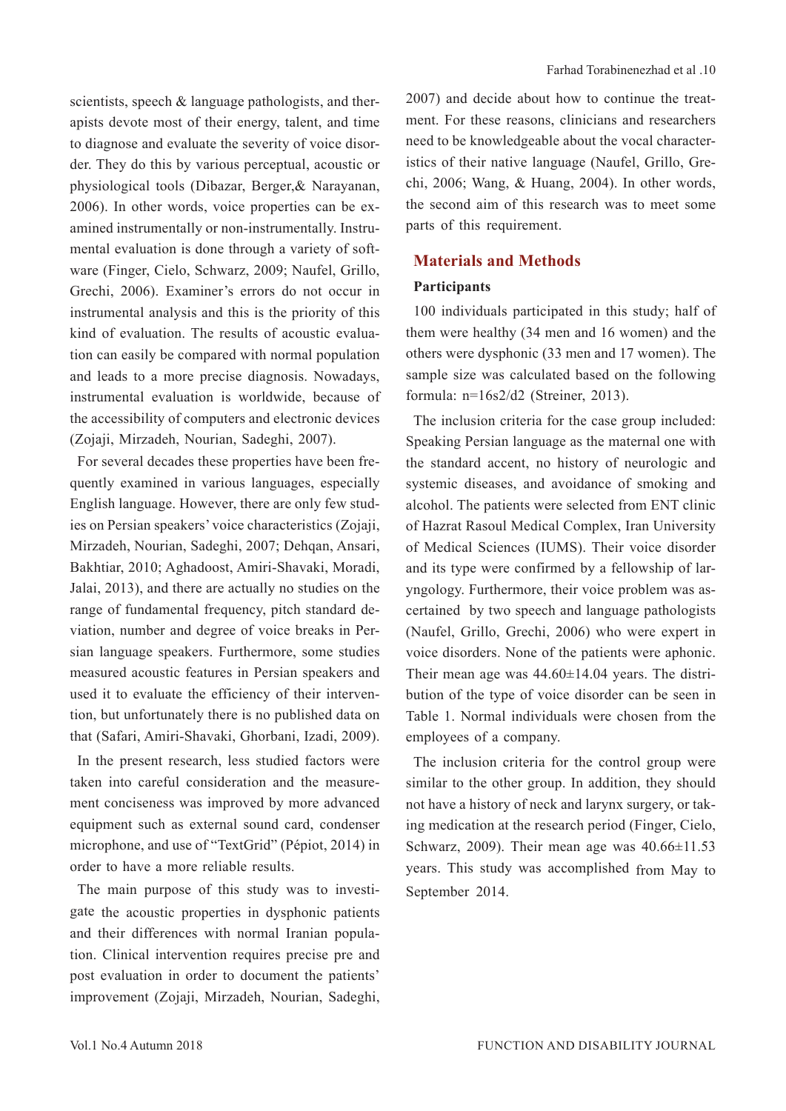scientists, speech & language pathologists, and therapists devote most of their energy, talent, and time to diagnose and evaluate the severity of voice disorder. They do this by various perceptual, acoustic or physiological tools (Dibazar, Berger,& Narayanan, 2006). In other words, voice properties can be examined instrumentally or non-instrumentally. Instrumental evaluation is done through a variety of software (Finger, Cielo, Schwarz, 2009; Naufel, Grillo, Grechi, 2006). Examiner's errors do not occur in instrumental analysis and this is the priority of this kind of evaluation. The results of acoustic evaluation can easily be compared with normal population and leads to a more precise diagnosis. Nowadays, instrumental evaluation is worldwide, because of the accessibility of computers and electronic devices (Zojaji, Mirzadeh, Nourian, Sadeghi, 2007).

For several decades these properties have been frequently examined in various languages, especially English language. However, there are only few studies on Persian speakers' voice characteristics (Zojaji, Mirzadeh, Nourian, Sadeghi, 2007; Dehqan, Ansari, Bakhtiar, 2010; Aghadoost, Amiri-Shavaki, Moradi, Jalai, 2013), and there are actually no studies on the range of fundamental frequency, pitch standard deviation, number and degree of voice breaks in Persian language speakers. Furthermore, some studies measured acoustic features in Persian speakers and used it to evaluate the efficiency of their intervention, but unfortunately there is no published data on that (Safari, Amiri-Shavaki, Ghorbani, Izadi, 2009).

In the present research, less studied factors were taken into careful consideration and the measurement conciseness was improved by more advanced equipment such as external sound card, condenser microphone, and use of "TextGrid" (Pépiot, 2014) in order to have a more reliable results.

The main purpose of this study was to investigate the acoustic properties in dysphonic patients and their differences with normal Iranian population. Clinical intervention requires precise pre and post evaluation in order to document the patients' improvement (Zojaji, Mirzadeh, Nourian, Sadeghi,

2007) and decide about how to continue the treatment. For these reasons, clinicians and researchers need to be knowledgeable about the vocal characteristics of their native language (Naufel, Grillo, Grechi, 2006; Wang, & Huang, 2004). In other words, the second aim of this research was to meet some parts of this requirement.

### **Materials and Methods**

#### **Participants**

100 individuals participated in this study; half of them were healthy (34 men and 16 women) and the others were dysphonic (33 men and 17 women). The sample size was calculated based on the following formula: n=16s2/d2 (Streiner, 2013).

The inclusion criteria for the case group included: Speaking Persian language as the maternal one with the standard accent, no history of neurologic and systemic diseases, and avoidance of smoking and alcohol. The patients were selected from ENT clinic of Hazrat Rasoul Medical Complex, Iran University of Medical Sciences (IUMS). Their voice disorder and its type were confirmed by a fellowship of laryngology. Furthermore, their voice problem was ascertained by two speech and language pathologists (Naufel, Grillo, Grechi, 2006) who were expert in voice disorders. None of the patients were aphonic. Their mean age was  $44.60 \pm 14.04$  years. The distribution of the type of voice disorder can be seen in Table 1. Normal individuals were chosen from the employees of a company.

The inclusion criteria for the control group were similar to the other group. In addition, they should not have a history of neck and larynx surgery, or taking medication at the research period (Finger, Cielo, Schwarz, 2009). Their mean age was  $40.66 \pm 11.53$ years. This study was accomplished from May to September 2014.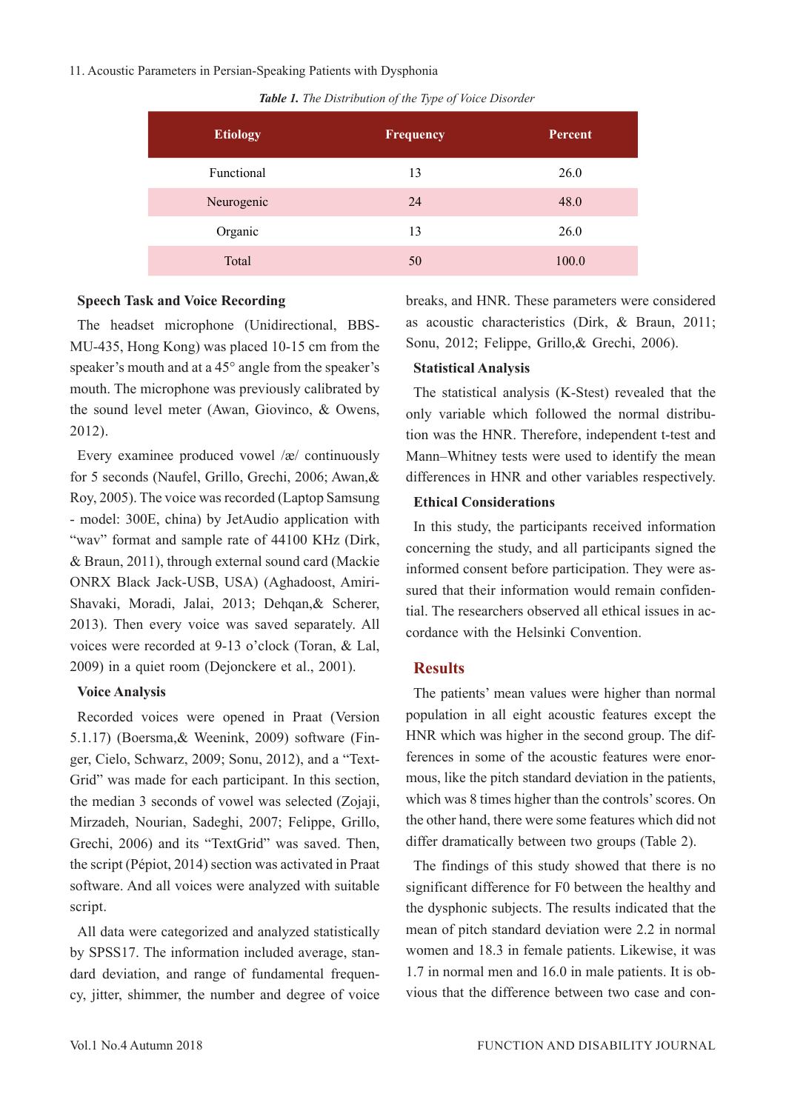#### 11. Acoustic Parameters in Persian-Speaking Patients with Dysphonia

|  | Table 1. The Distribution of the Type of Voice Disorder |  |  |
|--|---------------------------------------------------------|--|--|
|  |                                                         |  |  |

| <b>Etiology</b> | <b>Frequency</b> | <b>Percent</b> |
|-----------------|------------------|----------------|
| Functional      | 13               | 26.0           |
| Neurogenic      | 24               | 48.0           |
| Organic         | 13               | 26.0           |
| Total           | 50               | 100.0          |

# **Speech Task and Voice Recording**

The headset microphone (Unidirectional, BBS-MU-435, Hong Kong) was placed 10-15 cm from the speaker's mouth and at a 45° angle from the speaker's mouth. The microphone was previously calibrated by the sound level meter (Awan, Giovinco, & Owens, 2012).

Every examinee produced vowel /æ/ continuously for 5 seconds (Naufel, Grillo, Grechi, 2006; Awan,& Roy, 2005). The voice was recorded (Laptop Samsung - model: 300E, china) by JetAudio application with "wav" format and sample rate of 44100 KHz (Dirk, & Braun, 2011), through external sound card (Mackie ONRX Black Jack-USB, USA) (Aghadoost, Amiri-Shavaki, Moradi, Jalai, 2013; Dehqan,& Scherer, 2013). Then every voice was saved separately. All voices were recorded at 9-13 o'clock (Toran, & Lal, 2009) in a quiet room (Dejonckere et al., 2001).

### **Voice Analysis**

Recorded voices were opened in Praat (Version 5.1.17) (Boersma,& Weenink, 2009) software (Finger, Cielo, Schwarz, 2009; Sonu, 2012), and a "Text-Grid" was made for each participant. In this section, the median 3 seconds of vowel was selected (Zojaji, Mirzadeh, Nourian, Sadeghi, 2007; Felippe, Grillo, Grechi, 2006) and its "TextGrid" was saved. Then, the script (Pépiot, 2014) section was activated in Praat software. And all voices were analyzed with suitable script.

All data were categorized and analyzed statistically by SPSS17. The information included average, standard deviation, and range of fundamental frequency, jitter, shimmer, the number and degree of voice breaks, and HNR. These parameters were considered as acoustic characteristics (Dirk, & Braun, 2011; Sonu, 2012; Felippe, Grillo,& Grechi, 2006).

# **Statistical Analysis**

The statistical analysis (K-Stest) revealed that the only variable which followed the normal distribution was the HNR. Therefore, independent t-test and Mann–Whitney tests were used to identify the mean differences in HNR and other variables respectively.

# **Ethical Considerations**

In this study, the participants received information concerning the study, and all participants signed the informed consent before participation. They were assured that their information would remain confidential. The researchers observed all ethical issues in accordance with the Helsinki Convention.

# **Results**

The patients' mean values were higher than normal population in all eight acoustic features except the HNR which was higher in the second group. The differences in some of the acoustic features were enormous, like the pitch standard deviation in the patients, which was 8 times higher than the controls' scores. On the other hand, there were some features which did not differ dramatically between two groups (Table 2).

The findings of this study showed that there is no significant difference for F0 between the healthy and the dysphonic subjects. The results indicated that the mean of pitch standard deviation were 2.2 in normal women and 18.3 in female patients. Likewise, it was 1.7 in normal men and 16.0 in male patients. It is obvious that the difference between two case and con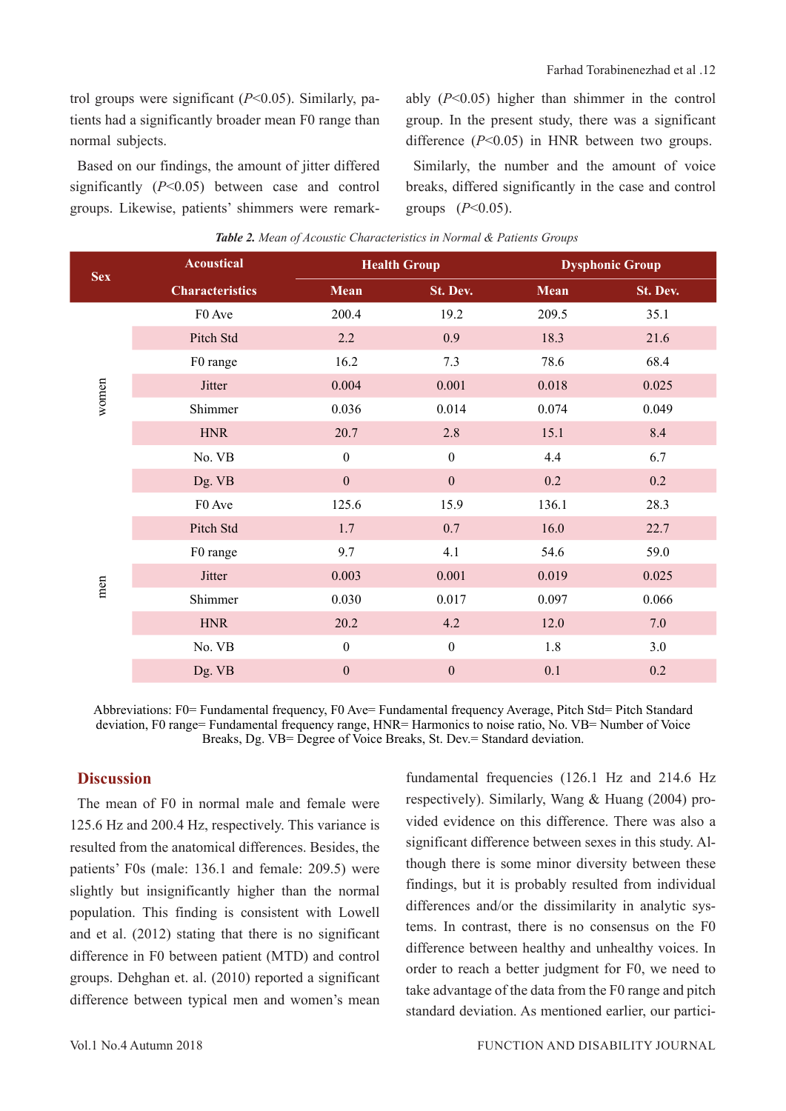trol groups were significant  $(P<0.05)$ . Similarly, patients had a significantly broader mean F0 range than normal subjects.

Based on our findings, the amount of jitter differed significantly (*P*<0.05) between case and control groups. Likewise, patients' shimmers were remarkably (*P*<0.05) higher than shimmer in the control group. In the present study, there was a significant difference (*P*<0.05) in HNR between two groups.

Similarly, the number and the amount of voice breaks, differed significantly in the case and control groups (*P*<0.05).

| <b>Sex</b> | <b>Acoustical</b>      | <b>Health Group</b> |                  | <b>Dysphonic Group</b> |          |
|------------|------------------------|---------------------|------------------|------------------------|----------|
|            | <b>Characteristics</b> | Mean                | St. Dev.         | <b>Mean</b>            | St. Dev. |
|            | F0 Ave                 | 200.4               | 19.2             | 209.5                  | 35.1     |
|            | Pitch Std              | $2.2\,$             | 0.9              | 18.3                   | 21.6     |
|            | F0 range               | 16.2                | 7.3              | 78.6                   | 68.4     |
| women      | Jitter                 | 0.004               | 0.001            | 0.018                  | 0.025    |
|            | Shimmer                | 0.036               | 0.014            | 0.074                  | 0.049    |
|            | <b>HNR</b>             | 20.7                | 2.8              | 15.1                   | 8.4      |
|            | No. VB                 | $\boldsymbol{0}$    | $\boldsymbol{0}$ | 4.4                    | 6.7      |
|            | Dg. VB                 | $\boldsymbol{0}$    | $\mathbf{0}$     | 0.2                    | 0.2      |
|            | F0 Ave                 | 125.6               | 15.9             | 136.1                  | 28.3     |
|            | Pitch Std              | 1.7                 | 0.7              | 16.0                   | 22.7     |
|            | F0 range               | 9.7                 | 4.1              | 54.6                   | 59.0     |
| men        | Jitter                 | 0.003               | 0.001            | 0.019                  | 0.025    |
|            | Shimmer                | 0.030               | 0.017            | 0.097                  | 0.066    |
|            | <b>HNR</b>             | 20.2                | 4.2              | 12.0                   | 7.0      |
|            | No. VB                 | $\boldsymbol{0}$    | $\boldsymbol{0}$ | 1.8                    | 3.0      |
|            | Dg. VB                 | $\mathbf{0}$        | $\boldsymbol{0}$ | 0.1                    | 0.2      |

| Table 2. Mean of Acoustic Characteristics in Normal & Patients Groups |  |
|-----------------------------------------------------------------------|--|
|-----------------------------------------------------------------------|--|

Abbreviations: F0= Fundamental frequency, F0 Ave= Fundamental frequency Average, Pitch Std= Pitch Standard deviation, F0 range= Fundamental frequency range, HNR= Harmonics to noise ratio, No. VB= Number of Voice Breaks, Dg. VB= Degree of Voice Breaks, St. Dev.= Standard deviation.

### **Discussion**

The mean of F0 in normal male and female were 125.6 Hz and 200.4 Hz, respectively. This variance is resulted from the anatomical differences. Besides, the patients' F0s (male: 136.1 and female: 209.5) were slightly but insignificantly higher than the normal population. This finding is consistent with Lowell and et al. (2012) stating that there is no significant difference in F0 between patient (MTD) and control groups. Dehghan et. al. (2010) reported a significant difference between typical men and women's mean

fundamental frequencies (126.1 Hz and 214.6 Hz respectively). Similarly, Wang & Huang (2004) provided evidence on this difference. There was also a significant difference between sexes in this study. Although there is some minor diversity between these findings, but it is probably resulted from individual differences and/or the dissimilarity in analytic systems. In contrast, there is no consensus on the F0 difference between healthy and unhealthy voices. In order to reach a better judgment for F0, we need to take advantage of the data from the F0 range and pitch standard deviation. As mentioned earlier, our partici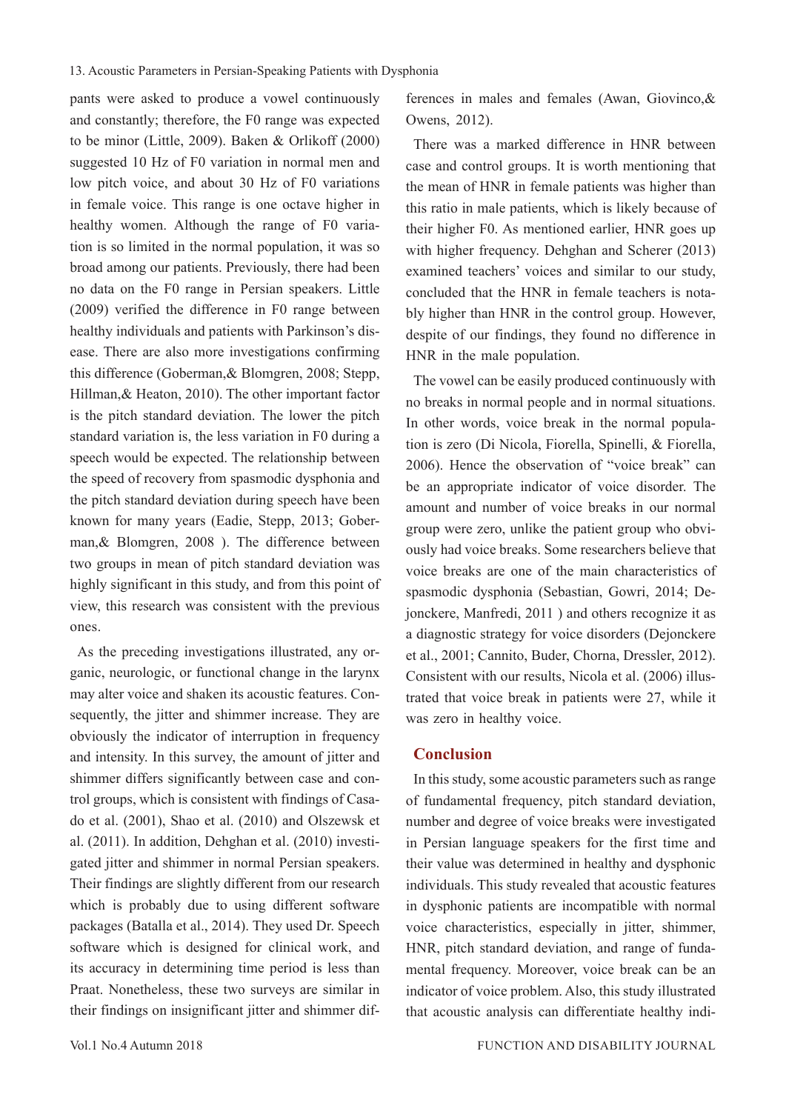pants were asked to produce a vowel continuously and constantly; therefore, the F0 range was expected to be minor (Little, 2009). Baken & Orlikoff (2000) suggested 10 Hz of F0 variation in normal men and low pitch voice, and about 30 Hz of F0 variations in female voice. This range is one octave higher in healthy women. Although the range of F0 variation is so limited in the normal population, it was so broad among our patients. Previously, there had been no data on the F0 range in Persian speakers. Little (2009) verified the difference in F0 range between healthy individuals and patients with Parkinson's disease. There are also more investigations confirming this difference (Goberman,& Blomgren, 2008; Stepp, Hillman,& Heaton, 2010). The other important factor is the pitch standard deviation. The lower the pitch standard variation is, the less variation in F0 during a speech would be expected. The relationship between the speed of recovery from spasmodic dysphonia and the pitch standard deviation during speech have been known for many years (Eadie, Stepp, 2013; Goberman,& Blomgren, 2008 ). The difference between two groups in mean of pitch standard deviation was highly significant in this study, and from this point of view, this research was consistent with the previous ones.

As the preceding investigations illustrated, any organic, neurologic, or functional change in the larynx may alter voice and shaken its acoustic features. Consequently, the jitter and shimmer increase. They are obviously the indicator of interruption in frequency and intensity. In this survey, the amount of jitter and shimmer differs significantly between case and control groups, which is consistent with findings of Casado et al. (2001), Shao et al. (2010) and Olszewsk et al. (2011). In addition, Dehghan et al. (2010) investigated jitter and shimmer in normal Persian speakers. Their findings are slightly different from our research which is probably due to using different software packages (Batalla et al., 2014). They used Dr. Speech software which is designed for clinical work, and its accuracy in determining time period is less than Praat. Nonetheless, these two surveys are similar in their findings on insignificant jitter and shimmer differences in males and females (Awan, Giovinco,& Owens, 2012).

There was a marked difference in HNR between case and control groups. It is worth mentioning that the mean of HNR in female patients was higher than this ratio in male patients, which is likely because of their higher F0. As mentioned earlier, HNR goes up with higher frequency. Dehghan and Scherer (2013) examined teachers' voices and similar to our study, concluded that the HNR in female teachers is notably higher than HNR in the control group. However, despite of our findings, they found no difference in HNR in the male population.

The vowel can be easily produced continuously with no breaks in normal people and in normal situations. In other words, voice break in the normal population is zero (Di Nicola, Fiorella, Spinelli, & Fiorella, 2006). Hence the observation of "voice break" can be an appropriate indicator of voice disorder. The amount and number of voice breaks in our normal group were zero, unlike the patient group who obviously had voice breaks. Some researchers believe that voice breaks are one of the main characteristics of spasmodic dysphonia (Sebastian, Gowri, 2014; Dejonckere, Manfredi, 2011 ) and others recognize it as a diagnostic strategy for voice disorders (Dejonckere et al., 2001; Cannito, Buder, Chorna, Dressler, 2012). Consistent with our results, Nicola et al. (2006) illustrated that voice break in patients were 27, while it was zero in healthy voice.

#### **Conclusion**

In this study, some acoustic parameters such as range of fundamental frequency, pitch standard deviation, number and degree of voice breaks were investigated in Persian language speakers for the first time and their value was determined in healthy and dysphonic individuals. This study revealed that acoustic features in dysphonic patients are incompatible with normal voice characteristics, especially in jitter, shimmer, HNR, pitch standard deviation, and range of fundamental frequency. Moreover, voice break can be an indicator of voice problem. Also, this study illustrated that acoustic analysis can differentiate healthy indi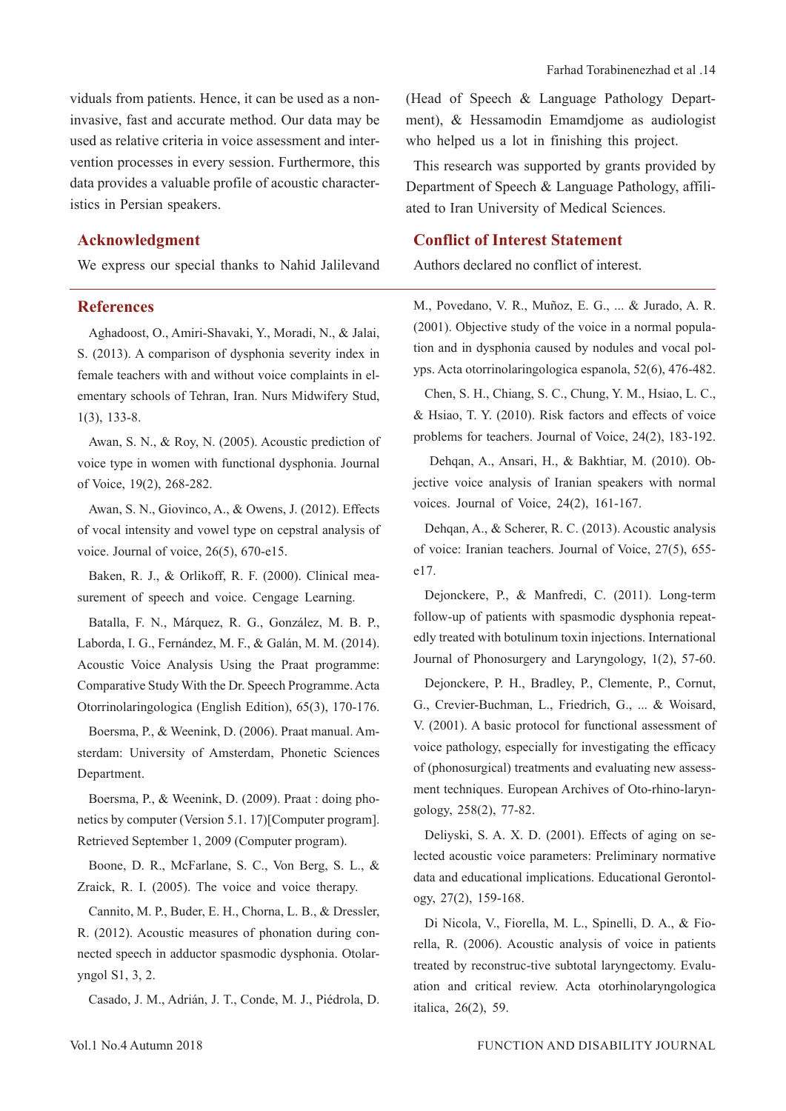viduals from patients. Hence, it can be used as a noninvasive, fast and accurate method. Our data may be used as relative criteria in voice assessment and intervention processes in every session. Furthermore, this data provides a valuable profile of acoustic characteristics in Persian speakers.

# **Acknowledgment**

We express our special thanks to Nahid Jalilevand

#### **References**

Aghadoost, O., Amiri-Shavaki, Y., Moradi, N., & Jalai, S. (2013). A comparison of dysphonia severity index in female teachers with and without voice complaints in elementary schools of Tehran, Iran. Nurs Midwifery Stud, 1(3), 133-8.

Awan, S. N., & Roy, N. (2005). Acoustic prediction of voice type in women with functional dysphonia. Journal of Voice, 19(2), 268-282.

Awan, S. N., Giovinco, A., & Owens, J. (2012). Effects of vocal intensity and vowel type on cepstral analysis of voice. Journal of voice, 26(5), 670-e15.

Baken, R. J., & Orlikoff, R. F. (2000). Clinical measurement of speech and voice. Cengage Learning.

Batalla, F. N., Márquez, R. G., González, M. B. P., Laborda, I. G., Fernández, M. F., & Galán, M. M. (2014). Acoustic Voice Analysis Using the Praat programme: Comparative Study With the Dr. Speech Programme. Acta Otorrinolaringologica (English Edition), 65(3), 170-176.

Boersma, P., & Weenink, D. (2006). Praat manual. Amsterdam: University of Amsterdam, Phonetic Sciences Department.

Boersma, P., & Weenink, D. (2009). Praat : doing phonetics by computer (Version 5.1. 17)[Computer program]. Retrieved September 1, 2009 (Computer program).

Boone, D. R., McFarlane, S. C., Von Berg, S. L., & Zraick, R. I. (2005). The voice and voice therapy.

Cannito, M. P., Buder, E. H., Chorna, L. B., & Dressler, R. (2012). Acoustic measures of phonation during connected speech in adductor spasmodic dysphonia. Otolaryngol S1, 3, 2.

Casado, J. M., Adrián, J. T., Conde, M. J., Piédrola, D.

(Head of Speech & Language Pathology Department), & Hessamodin Emamdjome as audiologist who helped us a lot in finishing this project.

This research was supported by grants provided by Department of Speech & Language Pathology, affiliated to Iran University of Medical Sciences.

### **Conflict of Interest Statement**

Authors declared no conflict of interest.

M., Povedano, V. R., Muñoz, E. G., ... & Jurado, A. R. (2001). Objective study of the voice in a normal population and in dysphonia caused by nodules and vocal polyps. Acta otorrinolaringologica espanola, 52(6), 476-482.

Chen, S. H., Chiang, S. C., Chung, Y. M., Hsiao, L. C., & Hsiao, T. Y. (2010). Risk factors and effects of voice problems for teachers. Journal of Voice, 24(2), 183-192.

 Dehqan, A., Ansari, H., & Bakhtiar, M. (2010). Objective voice analysis of Iranian speakers with normal voices. Journal of Voice, 24(2), 161-167.

Dehgan, A., & Scherer, R. C. (2013). Acoustic analysis of voice: Iranian teachers. Journal of Voice, 27(5), 655 e17.

Dejonckere, P., & Manfredi, C. (2011). Long-term follow-up of patients with spasmodic dysphonia repeatedly treated with botulinum toxin injections. International Journal of Phonosurgery and Laryngology, 1(2), 57-60.

Dejonckere, P. H., Bradley, P., Clemente, P., Cornut, G., Crevier-Buchman, L., Friedrich, G., ... & Woisard, V. (2001). A basic protocol for functional assessment of voice pathology, especially for investigating the efficacy of (phonosurgical) treatments and evaluating new assessment techniques. European Archives of Oto-rhino-laryngology, 258(2), 77-82.

Deliyski, S. A. X. D. (2001). Effects of aging on selected acoustic voice parameters: Preliminary normative data and educational implications. Educational Gerontology, 27(2), 159-168.

Di Nicola, V., Fiorella, M. L., Spinelli, D. A., & Fiorella, R. (2006). Acoustic analysis of voice in patients treated by reconstruc-tive subtotal laryngectomy. Evaluation and critical review. Acta otorhinolaryngologica italica, 26(2), 59.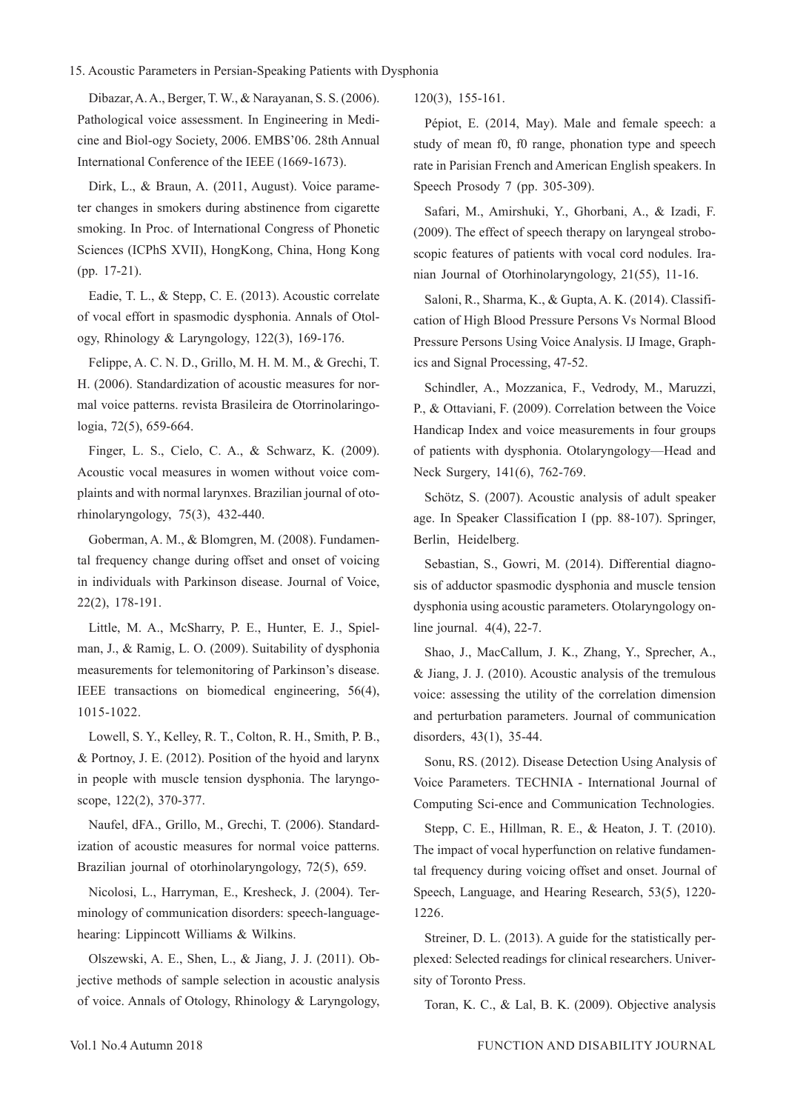#### 15. Acoustic Parameters in Persian-Speaking Patients with Dysphonia

Dibazar, A. A., Berger, T. W., & Narayanan, S. S. (2006). Pathological voice assessment. In Engineering in Medicine and Biol-ogy Society, 2006. EMBS'06. 28th Annual International Conference of the IEEE (1669-1673).

Dirk, L., & Braun, A. (2011, August). Voice parameter changes in smokers during abstinence from cigarette smoking. In Proc. of International Congress of Phonetic Sciences (ICPhS XVII), HongKong, China, Hong Kong (pp. 17-21).

Eadie, T. L., & Stepp, C. E. (2013). Acoustic correlate of vocal effort in spasmodic dysphonia. Annals of Otology, Rhinology & Laryngology, 122(3), 169-176.

Felippe, A. C. N. D., Grillo, M. H. M. M., & Grechi, T. H. (2006). Standardization of acoustic measures for normal voice patterns. revista Brasileira de Otorrinolaringologia, 72(5), 659-664.

Finger, L. S., Cielo, C. A., & Schwarz, K. (2009). Acoustic vocal measures in women without voice complaints and with normal larynxes. Brazilian journal of otorhinolaryngology, 75(3), 432-440.

Goberman, A. M., & Blomgren, M. (2008). Fundamental frequency change during offset and onset of voicing in individuals with Parkinson disease. Journal of Voice, 22(2), 178-191.

Little, M. A., McSharry, P. E., Hunter, E. J., Spielman, J., & Ramig, L. O. (2009). Suitability of dysphonia measurements for telemonitoring of Parkinson's disease. IEEE transactions on biomedical engineering, 56(4), 1015-1022.

Lowell, S. Y., Kelley, R. T., Colton, R. H., Smith, P. B., & Portnoy, J. E. (2012). Position of the hyoid and larynx in people with muscle tension dysphonia. The laryngoscope, 122(2), 370-377.

Naufel, dFA., Grillo, M., Grechi, T. (2006). Standardization of acoustic measures for normal voice patterns. Brazilian journal of otorhinolaryngology, 72(5), 659.

Nicolosi, L., Harryman, E., Kresheck, J. (2004). Terminology of communication disorders: speech-languagehearing: Lippincott Williams & Wilkins.

Olszewski, A. E., Shen, L., & Jiang, J. J. (2011). Objective methods of sample selection in acoustic analysis of voice. Annals of Otology, Rhinology & Laryngology, 120(3), 155-161.

Pépiot, E. (2014, May). Male and female speech: a study of mean f0, f0 range, phonation type and speech rate in Parisian French and American English speakers. In Speech Prosody 7 (pp. 305-309).

Safari, M., Amirshuki, Y., Ghorbani, A., & Izadi, F. (2009). The effect of speech therapy on laryngeal stroboscopic features of patients with vocal cord nodules. Iranian Journal of Otorhinolaryngology, 21(55), 11-16.

Saloni, R., Sharma, K., & Gupta, A. K. (2014). Classification of High Blood Pressure Persons Vs Normal Blood Pressure Persons Using Voice Analysis. IJ Image, Graphics and Signal Processing, 47-52.

Schindler, A., Mozzanica, F., Vedrody, M., Maruzzi, P., & Ottaviani, F. (2009). Correlation between the Voice Handicap Index and voice measurements in four groups of patients with dysphonia. Otolaryngology—Head and Neck Surgery, 141(6), 762-769.

Schötz, S. (2007). Acoustic analysis of adult speaker age. In Speaker Classification I (pp. 88-107). Springer, Berlin, Heidelberg.

Sebastian, S., Gowri, M. (2014). Differential diagnosis of adductor spasmodic dysphonia and muscle tension dysphonia using acoustic parameters. Otolaryngology online journal. 4(4), 22-7.

Shao, J., MacCallum, J. K., Zhang, Y., Sprecher, A., & Jiang, J. J. (2010). Acoustic analysis of the tremulous voice: assessing the utility of the correlation dimension and perturbation parameters. Journal of communication disorders, 43(1), 35-44.

Sonu, RS. (2012). Disease Detection Using Analysis of Voice Parameters. TECHNIA - International Journal of Computing Sci-ence and Communication Technologies.

Stepp, C. E., Hillman, R. E., & Heaton, J. T. (2010). The impact of vocal hyperfunction on relative fundamental frequency during voicing offset and onset. Journal of Speech, Language, and Hearing Research, 53(5), 1220- 1226.

Streiner, D. L. (2013). A guide for the statistically perplexed: Selected readings for clinical researchers. University of Toronto Press.

Toran, K. C., & Lal, B. K. (2009). Objective analysis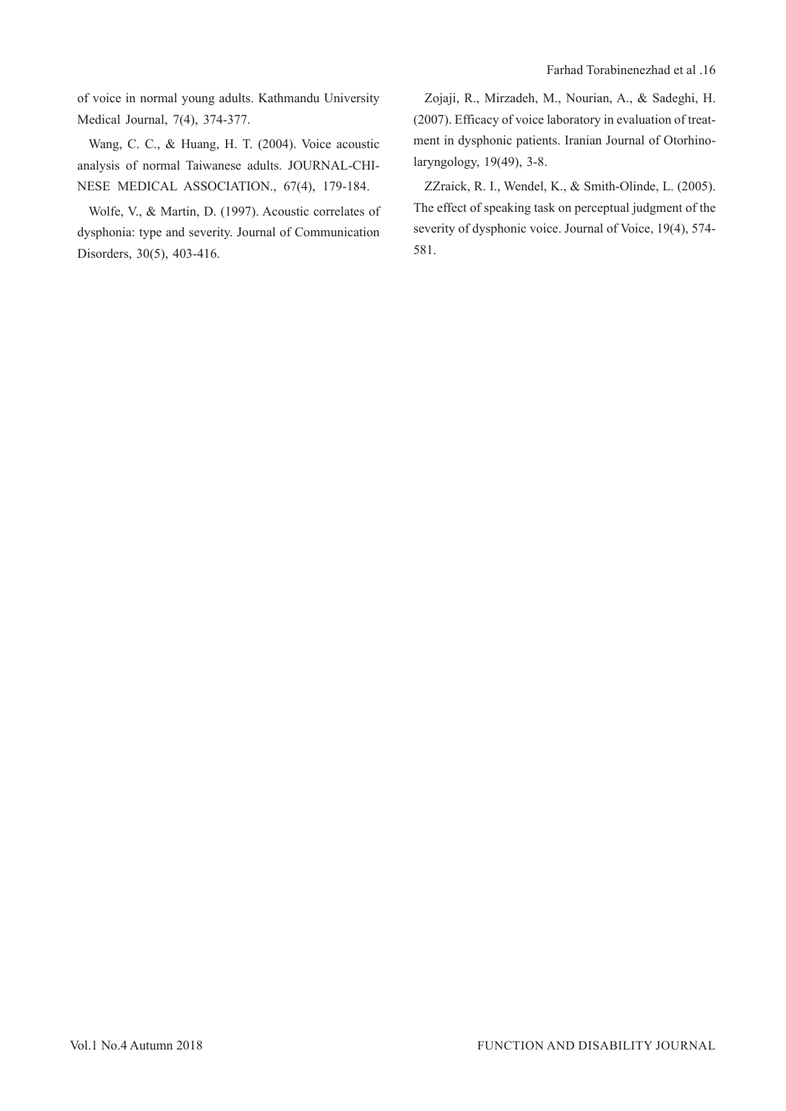of voice in normal young adults. Kathmandu University Medical Journal, 7(4), 374-377.

Wang, C. C., & Huang, H. T. (2004). Voice acoustic analysis of normal Taiwanese adults. JOURNAL-CHI-NESE MEDICAL ASSOCIATION., 67(4), 179-184.

Wolfe, V., & Martin, D. (1997). Acoustic correlates of dysphonia: type and severity. Journal of Communication Disorders, 30(5), 403-416.

Zojaji, R., Mirzadeh, M., Nourian, A., & Sadeghi, H. (2007). Efficacy of voice laboratory in evaluation of treatment in dysphonic patients. Iranian Journal of Otorhinolaryngology, 19(49), 3-8.

ZZraick, R. I., Wendel, K., & Smith-Olinde, L. (2005). The effect of speaking task on perceptual judgment of the severity of dysphonic voice. Journal of Voice, 19(4), 574- 581.